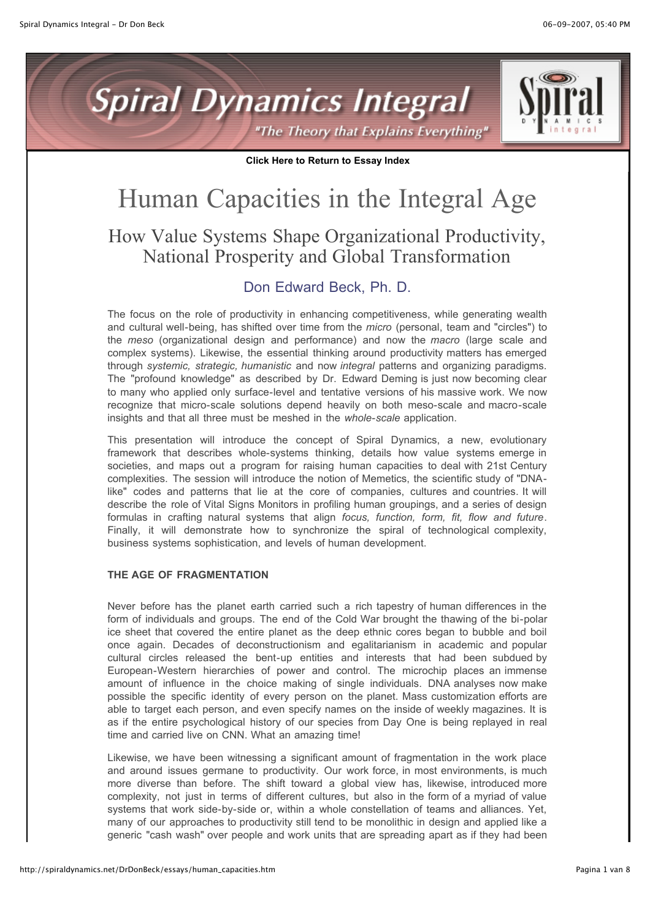



**Click Here to Return to Essay Index**

# Human Capacities in the Integral Age How Value Systems Shape Organizational Productivity, National Prosperity and Global Transformation

# Don Edward Beck, Ph. D.

The focus on the role of productivity in enhancing competitiveness, while generating wealth and cultural well-being, has shifted over time from the *micro* (personal, team and "circles") to the *meso* (organizational design and performance) and now the *macro* (large scale and complex systems). Likewise, the essential thinking around productivity matters has emerged through *systemic, strategic, humanistic* and now *integral* patterns and organizing paradigms. The "profound knowledge" as described by Dr. Edward Deming is just now becoming clear to many who applied only surface-level and tentative versions of his massive work. We now recognize that micro-scale solutions depend heavily on both meso-scale and macro-scale insights and that all three must be meshed in the *whole-scale* application.

This presentation will introduce the concept of Spiral Dynamics, a new, evolutionary framework that describes whole-systems thinking, details how value systems emerge in societies, and maps out a program for raising human capacities to deal with 21st Century complexities. The session will introduce the notion of Memetics, the scientific study of "DNAlike" codes and patterns that lie at the core of companies, cultures and countries. It will describe the role of Vital Signs Monitors in profiling human groupings, and a series of design formulas in crafting natural systems that align *focus, function, form, fit, flow and future*. Finally, it will demonstrate how to synchronize the spiral of technological complexity, business systems sophistication, and levels of human development.

#### **THE AGE OF FRAGMENTATION**

Never before has the planet earth carried such a rich tapestry of human differences in the form of individuals and groups. The end of the Cold War brought the thawing of the bi-polar ice sheet that covered the entire planet as the deep ethnic cores began to bubble and boil once again. Decades of deconstructionism and egalitarianism in academic and popular cultural circles released the bent-up entities and interests that had been subdued by European-Western hierarchies of power and control. The microchip places an immense amount of influence in the choice making of single individuals. DNA analyses now make possible the specific identity of every person on the planet. Mass customization efforts are able to target each person, and even specify names on the inside of weekly magazines. It is as if the entire psychological history of our species from Day One is being replayed in real time and carried live on CNN. What an amazing time!

Likewise, we have been witnessing a significant amount of fragmentation in the work place and around issues germane to productivity. Our work force, in most environments, is much more diverse than before. The shift toward a global view has, likewise, introduced more complexity, not just in terms of different cultures, but also in the form of a myriad of value systems that work side-by-side or, within a whole constellation of teams and alliances. Yet, many of our approaches to productivity still tend to be monolithic in design and applied like a generic "cash wash" over people and work units that are spreading apart as if they had been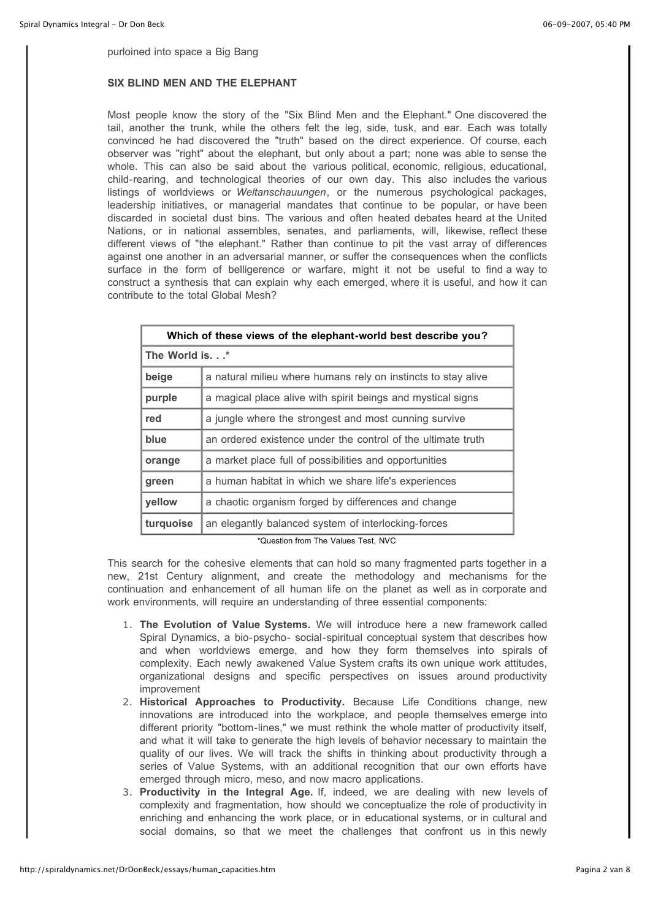purloined into space a Big Bang

#### **SIX BLIND MEN AND THE ELEPHANT**

Most people know the story of the "Six Blind Men and the Elephant." One discovered the tail, another the trunk, while the others felt the leg, side, tusk, and ear. Each was totally convinced he had discovered the "truth" based on the direct experience. Of course, each observer was "right" about the elephant, but only about a part; none was able to sense the whole. This can also be said about the various political, economic, religious, educational, child-rearing, and technological theories of our own day. This also includes the various listings of worldviews or *Weltanschauungen*, or the numerous psychological packages, leadership initiatives, or managerial mandates that continue to be popular, or have been discarded in societal dust bins. The various and often heated debates heard at the United Nations, or in national assembles, senates, and parliaments, will, likewise, reflect these different views of "the elephant." Rather than continue to pit the vast array of differences against one another in an adversarial manner, or suffer the consequences when the conflicts surface in the form of belligerence or warfare, might it not be useful to find a way to construct a synthesis that can explain why each emerged, where it is useful, and how it can contribute to the total Global Mesh?

| Which of these views of the elephant-world best describe you? |                                                               |  |
|---------------------------------------------------------------|---------------------------------------------------------------|--|
| The World is.*                                                |                                                               |  |
| beige                                                         | a natural milieu where humans rely on instincts to stay alive |  |
| purple                                                        | a magical place alive with spirit beings and mystical signs   |  |
| red                                                           | a jungle where the strongest and most cunning survive         |  |
| blue                                                          | an ordered existence under the control of the ultimate truth  |  |
| orange                                                        | a market place full of possibilities and opportunities        |  |
| green                                                         | a human habitat in which we share life's experiences          |  |
| yellow                                                        | a chaotic organism forged by differences and change           |  |
| turquoise                                                     | an elegantly balanced system of interlocking-forces           |  |

\*Question from The Values Test, NVC

This search for the cohesive elements that can hold so many fragmented parts together in a new, 21st Century alignment, and create the methodology and mechanisms for the continuation and enhancement of all human life on the planet as well as in corporate and work environments, will require an understanding of three essential components:

- 1. **The Evolution of Value Systems.** We will introduce here a new framework called Spiral Dynamics, a bio-psycho- social-spiritual conceptual system that describes how and when worldviews emerge, and how they form themselves into spirals of complexity. Each newly awakened Value System crafts its own unique work attitudes, organizational designs and specific perspectives on issues around productivity improvement
- 2. **Historical Approaches to Productivity.** Because Life Conditions change, new innovations are introduced into the workplace, and people themselves emerge into different priority "bottom-lines," we must rethink the whole matter of productivity itself, and what it will take to generate the high levels of behavior necessary to maintain the quality of our lives. We will track the shifts in thinking about productivity through a series of Value Systems, with an additional recognition that our own efforts have emerged through micro, meso, and now macro applications.
- 3. **Productivity in the Integral Age.** If, indeed, we are dealing with new levels of complexity and fragmentation, how should we conceptualize the role of productivity in enriching and enhancing the work place, or in educational systems, or in cultural and social domains, so that we meet the challenges that confront us in this newly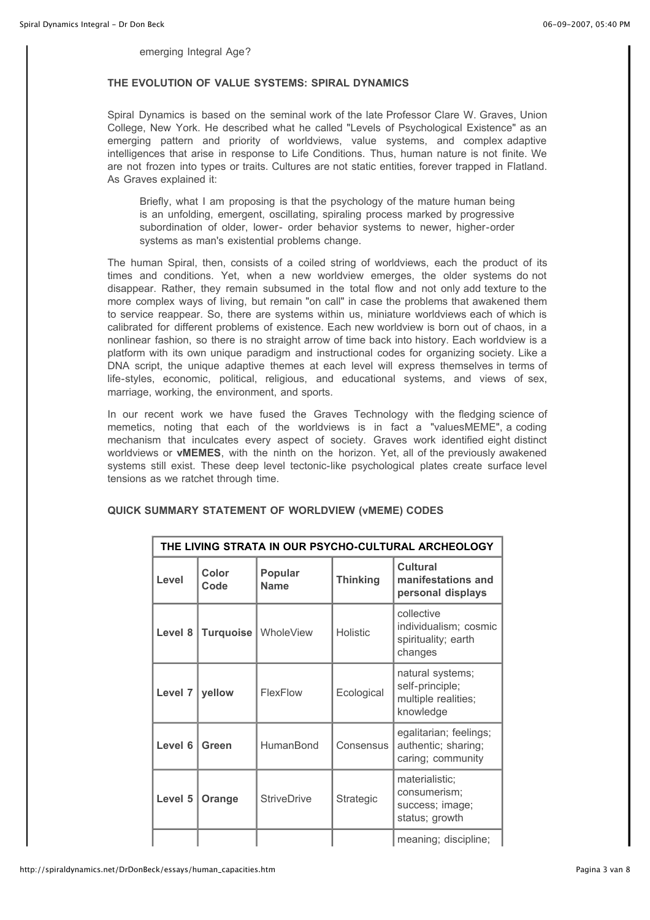emerging Integral Age?

#### **THE EVOLUTION OF VALUE SYSTEMS: SPIRAL DYNAMICS**

Spiral Dynamics is based on the seminal work of the late Professor Clare W. Graves, Union College, New York. He described what he called "Levels of Psychological Existence" as an emerging pattern and priority of worldviews, value systems, and complex adaptive intelligences that arise in response to Life Conditions. Thus, human nature is not finite. We are not frozen into types or traits. Cultures are not static entities, forever trapped in Flatland. As Graves explained it:

Briefly, what I am proposing is that the psychology of the mature human being is an unfolding, emergent, oscillating, spiraling process marked by progressive subordination of older, lower- order behavior systems to newer, higher-order systems as man's existential problems change.

The human Spiral, then, consists of a coiled string of worldviews, each the product of its times and conditions. Yet, when a new worldview emerges, the older systems do not disappear. Rather, they remain subsumed in the total flow and not only add texture to the more complex ways of living, but remain "on call" in case the problems that awakened them to service reappear. So, there are systems within us, miniature worldviews each of which is calibrated for different problems of existence. Each new worldview is born out of chaos, in a nonlinear fashion, so there is no straight arrow of time back into history. Each worldview is a platform with its own unique paradigm and instructional codes for organizing society. Like a DNA script, the unique adaptive themes at each level will express themselves in terms of life-styles, economic, political, religious, and educational systems, and views of sex, marriage, working, the environment, and sports.

In our recent work we have fused the Graves Technology with the fledging science of memetics, noting that each of the worldviews is in fact a "valuesMEME", a coding mechanism that inculcates every aspect of society. Graves work identified eight distinct worldviews or **vMEMES**, with the ninth on the horizon. Yet, all of the previously awakened systems still exist. These deep level tectonic-like psychological plates create surface level tensions as we ratchet through time.

| THE LIVING STRATA IN OUR PSYCHO-CULTURAL ARCHEOLOGY |               |                        |                 |                                                                         |
|-----------------------------------------------------|---------------|------------------------|-----------------|-------------------------------------------------------------------------|
| Level                                               | Color<br>Code | Popular<br><b>Name</b> | <b>Thinking</b> | <b>Cultural</b><br>manifestations and<br>personal displays              |
| Level 8                                             | Turquoise     | WholeView              | <b>Holistic</b> | collective<br>individualism; cosmic<br>spirituality; earth<br>changes   |
| Level 7                                             | yellow        | FlexFlow               | Ecological      | natural systems;<br>self-principle;<br>multiple realities;<br>knowledge |
| Level 6                                             | Green         | HumanBond              | Consensus       | egalitarian; feelings;<br>authentic; sharing;<br>caring; community      |
| Level 5                                             | Orange        | <b>StriveDrive</b>     | Strategic       | materialistic;<br>consumerism;<br>success; image;<br>status; growth     |
|                                                     |               |                        |                 | meaning; discipline;                                                    |

## **QUICK SUMMARY STATEMENT OF WORLDVIEW (vMEME) CODES**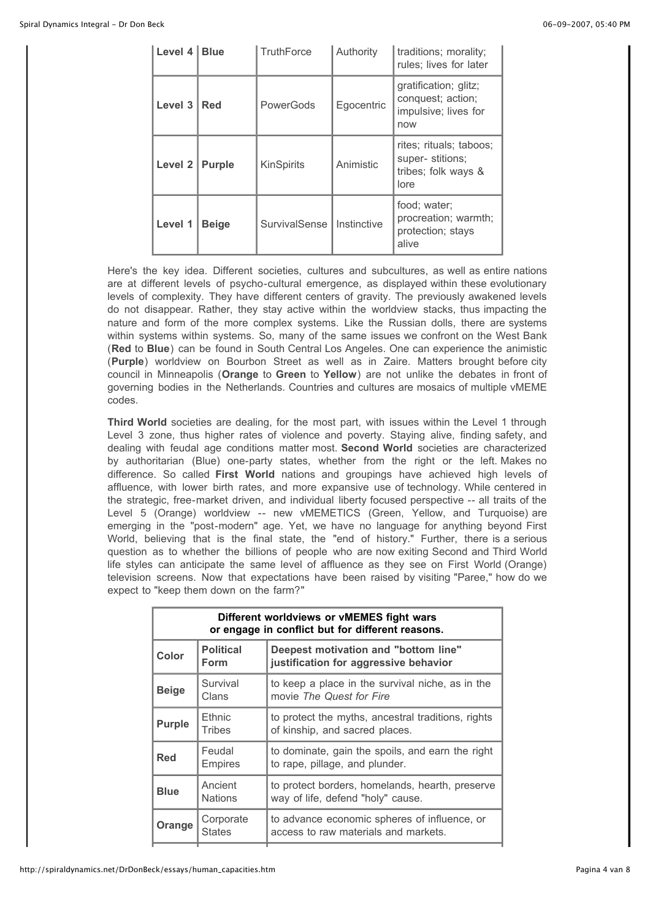| Level 4   Blue |               | <b>TruthForce</b>    | Authority     | traditions; morality;<br>rules; lives for later                           |
|----------------|---------------|----------------------|---------------|---------------------------------------------------------------------------|
| Level 3        | Red           | PowerGods            | Egocentric    | gratification; glitz;<br>conquest; action;<br>impulsive; lives for<br>now |
| Level 2        | <b>Purple</b> | KinSpirits           | Animistic     | rites; rituals; taboos;<br>super-stitions;<br>tribes; folk ways &<br>lore |
| Level 1        | <b>Beige</b>  | <b>SurvivalSense</b> | I Instinctive | food; water;<br>procreation; warmth;<br>protection; stays<br>alive        |

Here's the key idea. Different societies, cultures and subcultures, as well as entire nations are at different levels of psycho-cultural emergence, as displayed within these evolutionary levels of complexity. They have different centers of gravity. The previously awakened levels do not disappear. Rather, they stay active within the worldview stacks, thus impacting the nature and form of the more complex systems. Like the Russian dolls, there are systems within systems within systems. So, many of the same issues we confront on the West Bank (**Red** to **Blue**) can be found in South Central Los Angeles. One can experience the animistic (**Purple**) worldview on Bourbon Street as well as in Zaire. Matters brought before city council in Minneapolis (**Orange** to **Green** to **Yellow**) are not unlike the debates in front of governing bodies in the Netherlands. Countries and cultures are mosaics of multiple vMEME codes.

**Third World** societies are dealing, for the most part, with issues within the Level 1 through Level 3 zone, thus higher rates of violence and poverty. Staying alive, finding safety, and dealing with feudal age conditions matter most. **Second World** societies are characterized by authoritarian (Blue) one-party states, whether from the right or the left. Makes no difference. So called **First World** nations and groupings have achieved high levels of affluence, with lower birth rates, and more expansive use of technology. While centered in the strategic, free-market driven, and individual liberty focused perspective -- all traits of the Level 5 (Orange) worldview -- new vMEMETICS (Green, Yellow, and Turquoise) are emerging in the "post-modern" age. Yet, we have no language for anything beyond First World, believing that is the final state, the "end of history." Further, there is a serious question as to whether the billions of people who are now exiting Second and Third World life styles can anticipate the same level of affluence as they see on First World (Orange) television screens. Now that expectations have been raised by visiting "Paree," how do we expect to "keep them down on the farm?"

| Different worldviews or vMEMES fight wars<br>or engage in conflict but for different reasons. |                            |                                                                                      |  |  |
|-----------------------------------------------------------------------------------------------|----------------------------|--------------------------------------------------------------------------------------|--|--|
| <b>Color</b>                                                                                  | <b>Political</b><br>Form   | Deepest motivation and "bottom line"<br>justification for aggressive behavior        |  |  |
| <b>Beige</b>                                                                                  | Survival<br>Clans          | to keep a place in the survival niche, as in the<br>movie The Quest for Fire         |  |  |
| <b>Purple</b>                                                                                 | Ethnic<br>Tribes           | to protect the myths, ancestral traditions, rights<br>of kinship, and sacred places. |  |  |
| Red                                                                                           | Feudal<br><b>Empires</b>   | to dominate, gain the spoils, and earn the right<br>to rape, pillage, and plunder.   |  |  |
| <b>Blue</b>                                                                                   | Ancient<br><b>Nations</b>  | to protect borders, homelands, hearth, preserve<br>way of life, defend "holy" cause. |  |  |
| Orange                                                                                        | Corporate<br><b>States</b> | to advance economic spheres of influence, or<br>access to raw materials and markets. |  |  |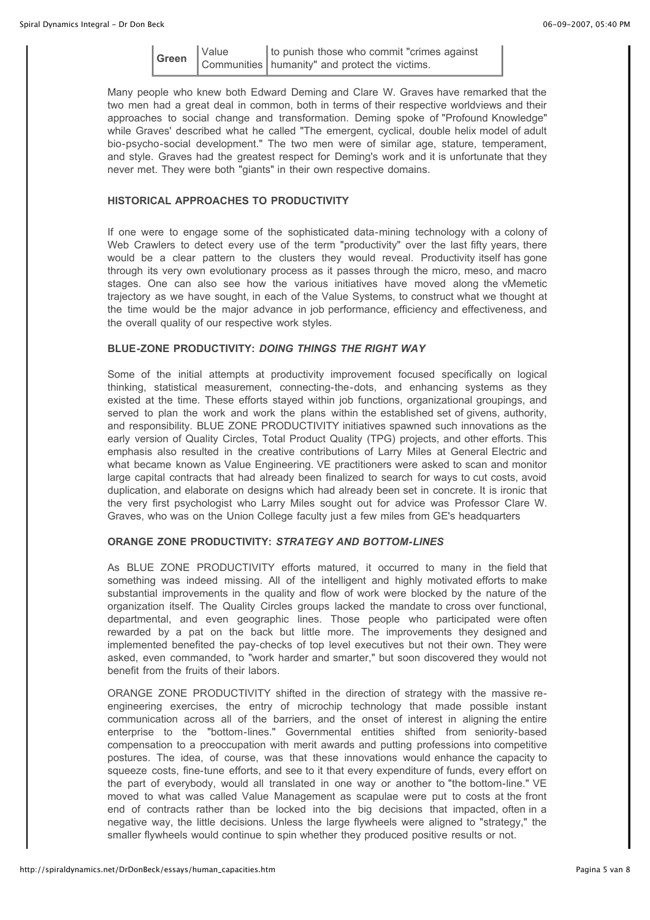|  | to punish those who commit "crimes against"                                                                                                                                                                                                                                                                         |
|--|---------------------------------------------------------------------------------------------------------------------------------------------------------------------------------------------------------------------------------------------------------------------------------------------------------------------|
|  | $\frac{1}{2}$ $\frac{1}{2}$ $\frac{1}{2}$ $\frac{1}{2}$ $\frac{1}{2}$ $\frac{1}{2}$ $\frac{1}{2}$ $\frac{1}{2}$ $\frac{1}{2}$ $\frac{1}{2}$ $\frac{1}{2}$ $\frac{1}{2}$ $\frac{1}{2}$ $\frac{1}{2}$ $\frac{1}{2}$ $\frac{1}{2}$ $\frac{1}{2}$ $\frac{1}{2}$ $\frac{1}{2}$ $\frac{1}{2}$ $\frac{1}{2}$ $\frac{1}{2}$ |

Many people who knew both Edward Deming and Clare W. Graves have remarked that the two men had a great deal in common, both in terms of their respective worldviews and their approaches to social change and transformation. Deming spoke of "Profound Knowledge" while Graves' described what he called "The emergent, cyclical, double helix model of adult bio-psycho-social development." The two men were of similar age, stature, temperament, and style. Graves had the greatest respect for Deming's work and it is unfortunate that they never met. They were both "giants" in their own respective domains.

# **HISTORICAL APPROACHES TO PRODUCTIVITY**

If one were to engage some of the sophisticated data-mining technology with a colony of Web Crawlers to detect every use of the term "productivity" over the last fifty years, there would be a clear pattern to the clusters they would reveal. Productivity itself has gone through its very own evolutionary process as it passes through the micro, meso, and macro stages. One can also see how the various initiatives have moved along the vMemetic trajectory as we have sought, in each of the Value Systems, to construct what we thought at the time would be the major advance in job performance, efficiency and effectiveness, and the overall quality of our respective work styles.

# **BLUE-ZONE PRODUCTIVITY:** *DOING THINGS THE RIGHT WAY*

Some of the initial attempts at productivity improvement focused specifically on logical thinking, statistical measurement, connecting-the-dots, and enhancing systems as they existed at the time. These efforts stayed within job functions, organizational groupings, and served to plan the work and work the plans within the established set of givens, authority, and responsibility. BLUE ZONE PRODUCTIVITY initiatives spawned such innovations as the early version of Quality Circles, Total Product Quality (TPG) projects, and other efforts. This emphasis also resulted in the creative contributions of Larry Miles at General Electric and what became known as Value Engineering. VE practitioners were asked to scan and monitor large capital contracts that had already been finalized to search for ways to cut costs, avoid duplication, and elaborate on designs which had already been set in concrete. It is ironic that the very first psychologist who Larry Miles sought out for advice was Professor Clare W. Graves, who was on the Union College faculty just a few miles from GE's headquarters

#### **ORANGE ZONE PRODUCTIVITY:** *STRATEGY AND BOTTOM-LINES*

As BLUE ZONE PRODUCTIVITY efforts matured, it occurred to many in the field that something was indeed missing. All of the intelligent and highly motivated efforts to make substantial improvements in the quality and flow of work were blocked by the nature of the organization itself. The Quality Circles groups lacked the mandate to cross over functional, departmental, and even geographic lines. Those people who participated were often rewarded by a pat on the back but little more. The improvements they designed and implemented benefited the pay-checks of top level executives but not their own. They were asked, even commanded, to "work harder and smarter," but soon discovered they would not benefit from the fruits of their labors.

ORANGE ZONE PRODUCTIVITY shifted in the direction of strategy with the massive reengineering exercises, the entry of microchip technology that made possible instant communication across all of the barriers, and the onset of interest in aligning the entire enterprise to the "bottom-lines." Governmental entities shifted from seniority-based compensation to a preoccupation with merit awards and putting professions into competitive postures. The idea, of course, was that these innovations would enhance the capacity to squeeze costs, fine-tune efforts, and see to it that every expenditure of funds, every effort on the part of everybody, would all translated in one way or another to "the bottom-line." VE moved to what was called Value Management as scapulae were put to costs at the front end of contracts rather than be locked into the big decisions that impacted, often in a negative way, the little decisions. Unless the large flywheels were aligned to "strategy," the smaller flywheels would continue to spin whether they produced positive results or not.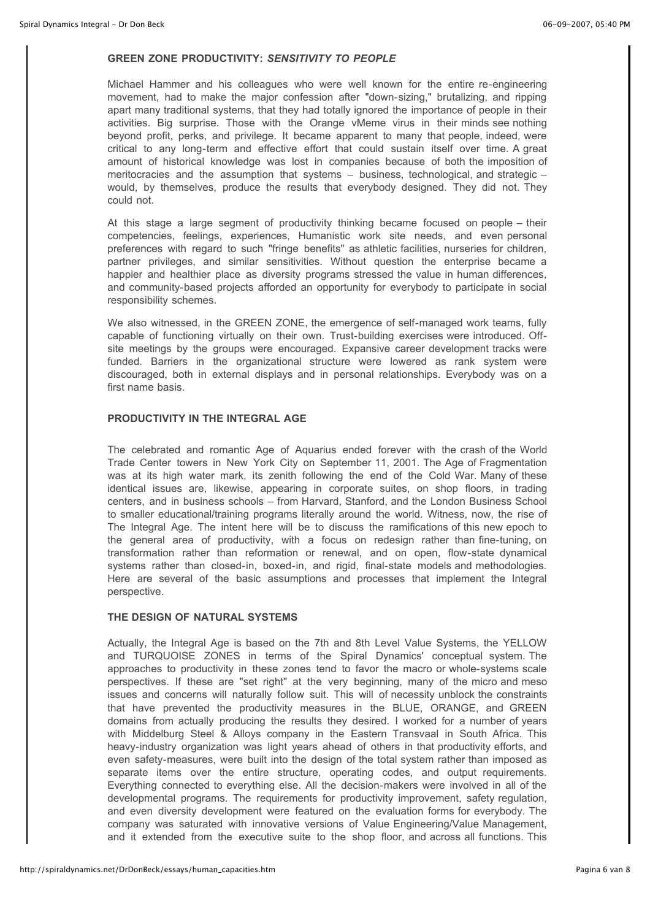#### **GREEN ZONE PRODUCTIVITY:** *SENSITIVITY TO PEOPLE*

Michael Hammer and his colleagues who were well known for the entire re-engineering movement, had to make the major confession after "down-sizing," brutalizing, and ripping apart many traditional systems, that they had totally ignored the importance of people in their activities. Big surprise. Those with the Orange vMeme virus in their minds see nothing beyond profit, perks, and privilege. It became apparent to many that people, indeed, were critical to any long-term and effective effort that could sustain itself over time. A great amount of historical knowledge was lost in companies because of both the imposition of meritocracies and the assumption that systems – business, technological, and strategic – would, by themselves, produce the results that everybody designed. They did not. They could not.

At this stage a large segment of productivity thinking became focused on people – their competencies, feelings, experiences, Humanistic work site needs, and even personal preferences with regard to such "fringe benefits" as athletic facilities, nurseries for children, partner privileges, and similar sensitivities. Without question the enterprise became a happier and healthier place as diversity programs stressed the value in human differences, and community-based projects afforded an opportunity for everybody to participate in social responsibility schemes.

We also witnessed, in the GREEN ZONE, the emergence of self-managed work teams, fully capable of functioning virtually on their own. Trust-building exercises were introduced. Offsite meetings by the groups were encouraged. Expansive career development tracks were funded. Barriers in the organizational structure were lowered as rank system were discouraged, both in external displays and in personal relationships. Everybody was on a first name basis.

# **PRODUCTIVITY IN THE INTEGRAL AGE**

The celebrated and romantic Age of Aquarius ended forever with the crash of the World Trade Center towers in New York City on September 11, 2001. The Age of Fragmentation was at its high water mark, its zenith following the end of the Cold War. Many of these identical issues are, likewise, appearing in corporate suites, on shop floors, in trading centers, and in business schools – from Harvard, Stanford, and the London Business School to smaller educational/training programs literally around the world. Witness, now, the rise of The Integral Age. The intent here will be to discuss the ramifications of this new epoch to the general area of productivity, with a focus on redesign rather than fine-tuning, on transformation rather than reformation or renewal, and on open, flow-state dynamical systems rather than closed-in, boxed-in, and rigid, final-state models and methodologies. Here are several of the basic assumptions and processes that implement the Integral perspective.

## **THE DESIGN OF NATURAL SYSTEMS**

Actually, the Integral Age is based on the 7th and 8th Level Value Systems, the YELLOW and TURQUOISE ZONES in terms of the Spiral Dynamics' conceptual system. The approaches to productivity in these zones tend to favor the macro or whole-systems scale perspectives. If these are "set right" at the very beginning, many of the micro and meso issues and concerns will naturally follow suit. This will of necessity unblock the constraints that have prevented the productivity measures in the BLUE, ORANGE, and GREEN domains from actually producing the results they desired. I worked for a number of years with Middelburg Steel & Alloys company in the Eastern Transvaal in South Africa. This heavy-industry organization was light years ahead of others in that productivity efforts, and even safety-measures, were built into the design of the total system rather than imposed as separate items over the entire structure, operating codes, and output requirements. Everything connected to everything else. All the decision-makers were involved in all of the developmental programs. The requirements for productivity improvement, safety regulation, and even diversity development were featured on the evaluation forms for everybody. The company was saturated with innovative versions of Value Engineering/Value Management, and it extended from the executive suite to the shop floor, and across all functions. This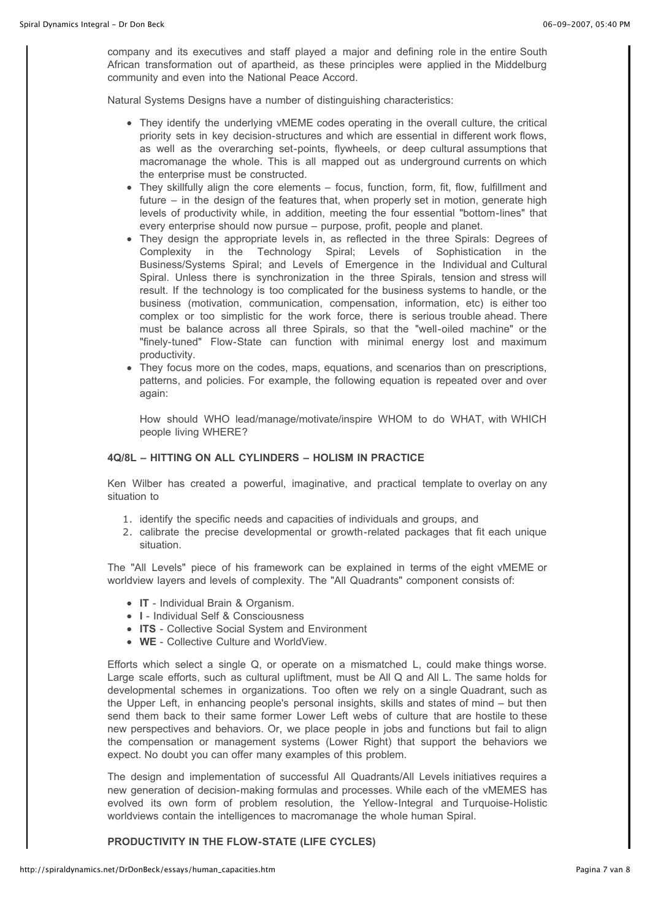company and its executives and staff played a major and defining role in the entire South African transformation out of apartheid, as these principles were applied in the Middelburg community and even into the National Peace Accord.

Natural Systems Designs have a number of distinguishing characteristics:

- They identify the underlying vMEME codes operating in the overall culture, the critical priority sets in key decision-structures and which are essential in different work flows, as well as the overarching set-points, flywheels, or deep cultural assumptions that macromanage the whole. This is all mapped out as underground currents on which the enterprise must be constructed.
- They skillfully align the core elements focus, function, form, fit, flow, fulfillment and future – in the design of the features that, when properly set in motion, generate high levels of productivity while, in addition, meeting the four essential "bottom-lines" that every enterprise should now pursue – purpose, profit, people and planet.
- They design the appropriate levels in, as reflected in the three Spirals: Degrees of Complexity in the Technology Spiral; Levels of Sophistication in the Business/Systems Spiral; and Levels of Emergence in the Individual and Cultural Spiral. Unless there is synchronization in the three Spirals, tension and stress will result. If the technology is too complicated for the business systems to handle, or the business (motivation, communication, compensation, information, etc) is either too complex or too simplistic for the work force, there is serious trouble ahead. There must be balance across all three Spirals, so that the "well-oiled machine" or the "finely-tuned" Flow-State can function with minimal energy lost and maximum productivity.
- They focus more on the codes, maps, equations, and scenarios than on prescriptions, patterns, and policies. For example, the following equation is repeated over and over again:

How should WHO lead/manage/motivate/inspire WHOM to do WHAT, with WHICH people living WHERE?

#### **4Q/8L – HITTING ON ALL CYLINDERS – HOLISM IN PRACTICE**

Ken Wilber has created a powerful, imaginative, and practical template to overlay on any situation to

- 1. identify the specific needs and capacities of individuals and groups, and
- 2. calibrate the precise developmental or growth-related packages that fit each unique situation.

The "All Levels" piece of his framework can be explained in terms of the eight vMEME or worldview layers and levels of complexity. The "All Quadrants" component consists of:

- **IT** Individual Brain & Organism.
- **I** Individual Self & Consciousness
- **ITS** Collective Social System and Environment
- **WE** Collective Culture and WorldView.

Efforts which select a single Q, or operate on a mismatched L, could make things worse. Large scale efforts, such as cultural upliftment, must be All Q and All L. The same holds for developmental schemes in organizations. Too often we rely on a single Quadrant, such as the Upper Left, in enhancing people's personal insights, skills and states of mind – but then send them back to their same former Lower Left webs of culture that are hostile to these new perspectives and behaviors. Or, we place people in jobs and functions but fail to align the compensation or management systems (Lower Right) that support the behaviors we expect. No doubt you can offer many examples of this problem.

The design and implementation of successful All Quadrants/All Levels initiatives requires a new generation of decision-making formulas and processes. While each of the vMEMES has evolved its own form of problem resolution, the Yellow-Integral and Turquoise-Holistic worldviews contain the intelligences to macromanage the whole human Spiral.

**PRODUCTIVITY IN THE FLOW-STATE (LIFE CYCLES)**